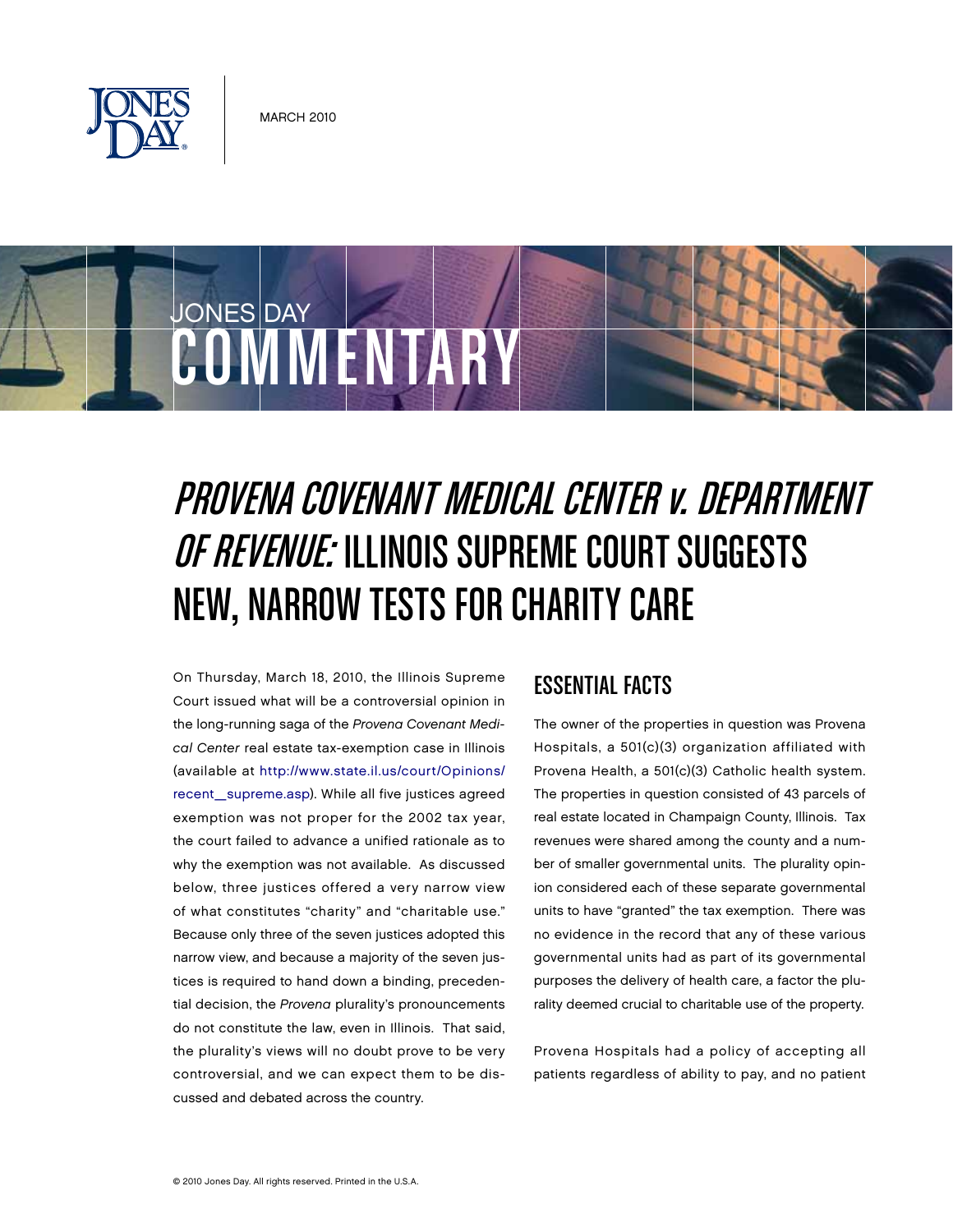



# PROVENA COVENANT MEDICAL CENTER V. DEPARTMENT OF REVENUE: ILLINOIS SUPREME COURT SUGGESTS NEW, NARROW TESTS FOR CHARITY CARE

On Thursday, March 18, 2010, the Illinois Supreme Court issued what will be a controversial opinion in the long-running saga of the Provena Covenant Medical Center real estate tax-exemption case in Illinois (available at <http://www.state.il.us/court/Opinions/> recent\_supreme.asp). While all five justices agreed exemption was not proper for the 2002 tax year, the court failed to advance a unified rationale as to why the exemption was not available. As discussed below, three justices offered a very narrow view of what constitutes "charity" and "charitable use." Because only three of the seven justices adopted this narrow view, and because a majority of the seven justices is required to hand down a binding, precedential decision, the Provena plurality's pronouncements do not constitute the law, even in Illinois. That said, the plurality's views will no doubt prove to be very controversial, and we can expect them to be discussed and debated across the country.

## ESSENTIAL FACTS

The owner of the properties in question was Provena Hospitals, a 501(c)(3) organization affiliated with Provena Health, a 501(c)(3) Catholic health system. The properties in question consisted of 43 parcels of real estate located in Champaign County, Illinois. Tax revenues were shared among the county and a number of smaller governmental units. The plurality opinion considered each of these separate governmental units to have "granted" the tax exemption. There was no evidence in the record that any of these various governmental units had as part of its governmental purposes the delivery of health care, a factor the plurality deemed crucial to charitable use of the property.

Provena Hospitals had a policy of accepting all patients regardless of ability to pay, and no patient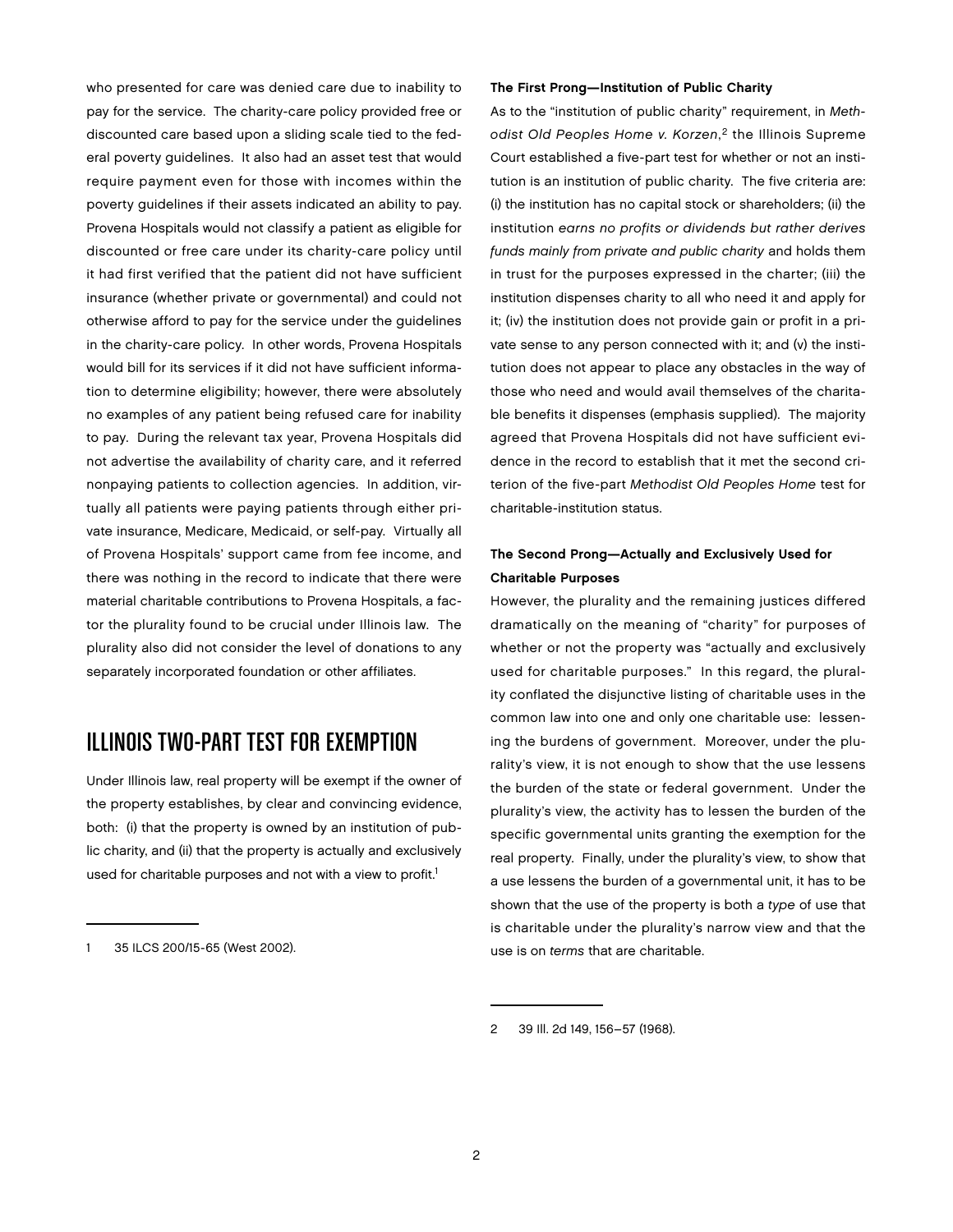who presented for care was denied care due to inability to pay for the service. The charity-care policy provided free or discounted care based upon a sliding scale tied to the federal poverty guidelines. It also had an asset test that would require payment even for those with incomes within the poverty guidelines if their assets indicated an ability to pay. Provena Hospitals would not classify a patient as eligible for discounted or free care under its charity-care policy until it had first verified that the patient did not have sufficient insurance (whether private or governmental) and could not otherwise afford to pay for the service under the guidelines in the charity-care policy. In other words, Provena Hospitals would bill for its services if it did not have sufficient information to determine eligibility; however, there were absolutely no examples of any patient being refused care for inability to pay. During the relevant tax year, Provena Hospitals did not advertise the availability of charity care, and it referred nonpaying patients to collection agencies. In addition, virtually all patients were paying patients through either private insurance, Medicare, Medicaid, or self-pay. Virtually all of Provena Hospitals' support came from fee income, and there was nothing in the record to indicate that there were material charitable contributions to Provena Hospitals, a factor the plurality found to be crucial under Illinois law. The plurality also did not consider the level of donations to any separately incorporated foundation or other affiliates.

## Illinois Two-Part Test for Exemption

Under Illinois law, real property will be exempt if the owner of the property establishes, by clear and convincing evidence, both: (i) that the property is owned by an institution of public charity, and (ii) that the property is actually and exclusively used for charitable purposes and not with a view to profit.<sup>1</sup>

#### The First Prong—Institution of Public Charity

As to the "institution of public charity" requirement, in Methodist Old Peoples Home v. Korzen,<sup>2</sup> the Illinois Supreme Court established a five-part test for whether or not an institution is an institution of public charity. The five criteria are: (i) the institution has no capital stock or shareholders; (ii) the institution earns no profits or dividends but rather derives funds mainly from private and public charity and holds them in trust for the purposes expressed in the charter; (iii) the institution dispenses charity to all who need it and apply for it; (iv) the institution does not provide gain or profit in a private sense to any person connected with it; and (v) the institution does not appear to place any obstacles in the way of those who need and would avail themselves of the charitable benefits it dispenses (emphasis supplied). The majority agreed that Provena Hospitals did not have sufficient evidence in the record to establish that it met the second criterion of the five-part Methodist Old Peoples Home test for charitable-institution status.

### The Second Prong—Actually and Exclusively Used for Charitable Purposes

However, the plurality and the remaining justices differed dramatically on the meaning of "charity" for purposes of whether or not the property was "actually and exclusively used for charitable purposes." In this regard, the plurality conflated the disjunctive listing of charitable uses in the common law into one and only one charitable use: lessening the burdens of government. Moreover, under the plurality's view, it is not enough to show that the use lessens the burden of the state or federal government. Under the plurality's view, the activity has to lessen the burden of the specific governmental units granting the exemption for the real property. Finally, under the plurality's view, to show that a use lessens the burden of a governmental unit, it has to be shown that the use of the property is both a type of use that is charitable under the plurality's narrow view and that the use is on terms that are charitable.

<sup>35</sup> ILCS 200/15-65 (West 2002).

<sup>2</sup> 39 Ill. 2d 149, 156–57 (1968).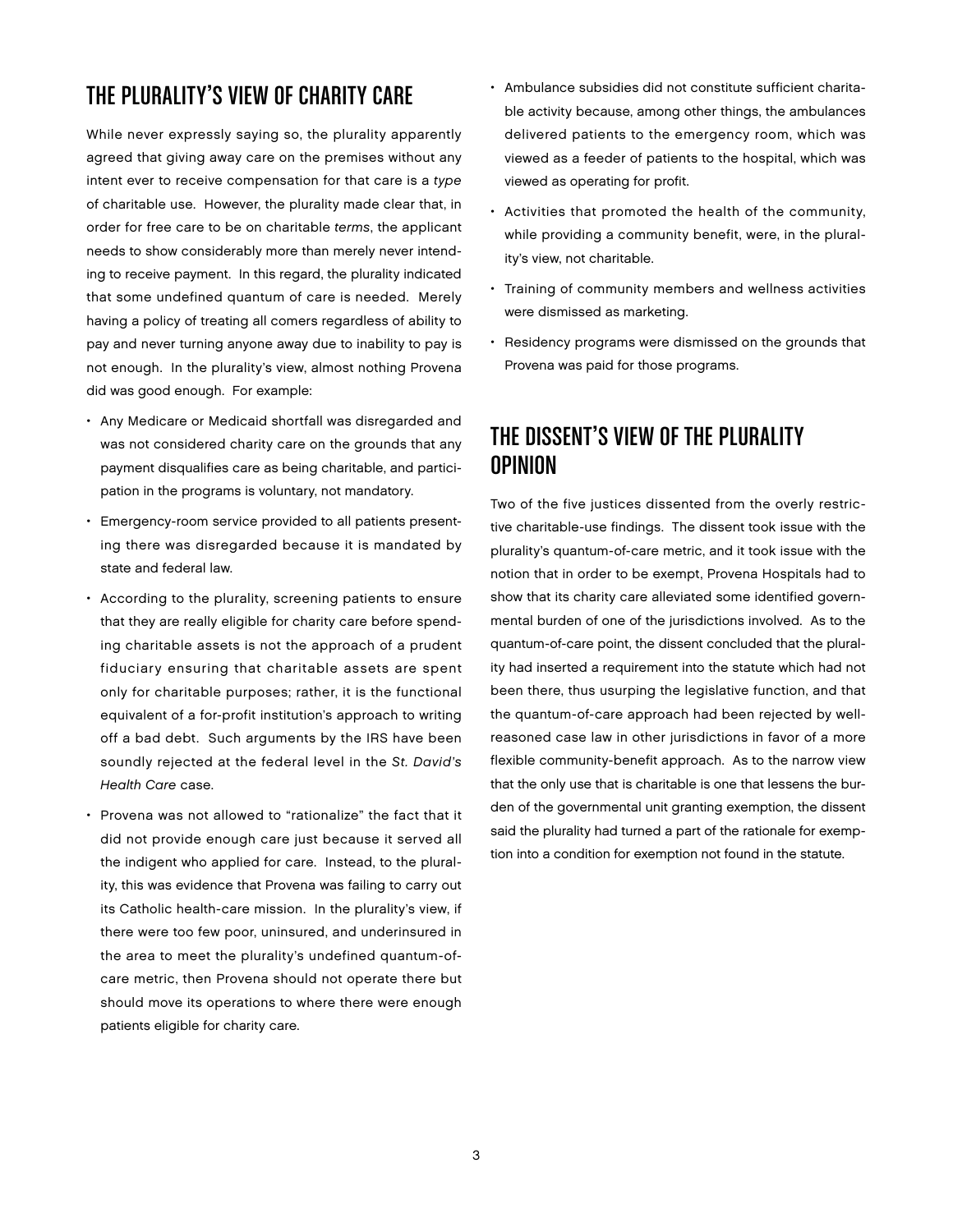## The Plurality's View of Charity Care

While never expressly saying so, the plurality apparently agreed that giving away care on the premises without any intent ever to receive compensation for that care is a type of charitable use. However, the plurality made clear that, in order for free care to be on charitable terms, the applicant needs to show considerably more than merely never intending to receive payment. In this regard, the plurality indicated that some undefined quantum of care is needed. Merely having a policy of treating all comers regardless of ability to pay and never turning anyone away due to inability to pay is not enough. In the plurality's view, almost nothing Provena did was good enough. For example:

- Any Medicare or Medicaid shortfall was disregarded and was not considered charity care on the grounds that any payment disqualifies care as being charitable, and participation in the programs is voluntary, not mandatory.
- Emergency-room service provided to all patients presenting there was disregarded because it is mandated by state and federal law.
- According to the plurality, screening patients to ensure that they are really eligible for charity care before spending charitable assets is not the approach of a prudent fiduciary ensuring that charitable assets are spent only for charitable purposes; rather, it is the functional equivalent of a for-profit institution's approach to writing off a bad debt. Such arguments by the IRS have been soundly rejected at the federal level in the St. David's Health Care case.
- Provena was not allowed to "rationalize" the fact that it did not provide enough care just because it served all the indigent who applied for care. Instead, to the plurality, this was evidence that Provena was failing to carry out its Catholic health-care mission. In the plurality's view, if there were too few poor, uninsured, and underinsured in the area to meet the plurality's undefined quantum-ofcare metric, then Provena should not operate there but should move its operations to where there were enough patients eligible for charity care.
- Ambulance subsidies did not constitute sufficient charitable activity because, among other things, the ambulances delivered patients to the emergency room, which was viewed as a feeder of patients to the hospital, which was viewed as operating for profit.
- Activities that promoted the health of the community, while providing a community benefit, were, in the plurality's view, not charitable.
- Training of community members and wellness activities were dismissed as marketing.
- Residency programs were dismissed on the grounds that Provena was paid for those programs.

## The Dissent's View of the Plurality Opinion

Two of the five justices dissented from the overly restrictive charitable-use findings. The dissent took issue with the plurality's quantum-of-care metric, and it took issue with the notion that in order to be exempt, Provena Hospitals had to show that its charity care alleviated some identified governmental burden of one of the jurisdictions involved. As to the quantum-of-care point, the dissent concluded that the plurality had inserted a requirement into the statute which had not been there, thus usurping the legislative function, and that the quantum-of-care approach had been rejected by wellreasoned case law in other jurisdictions in favor of a more flexible community-benefit approach. As to the narrow view that the only use that is charitable is one that lessens the burden of the governmental unit granting exemption, the dissent said the plurality had turned a part of the rationale for exemption into a condition for exemption not found in the statute.